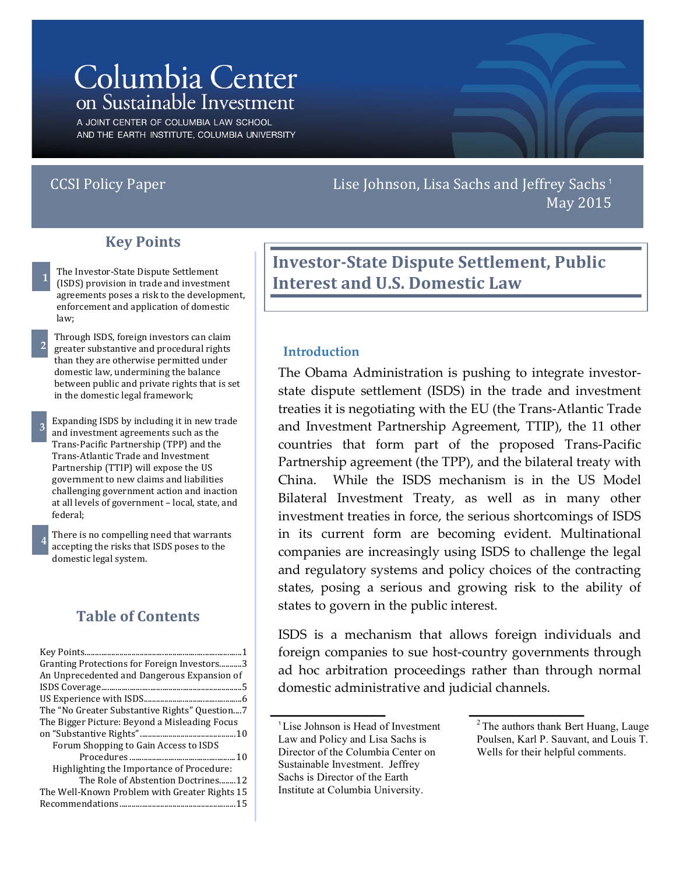# Columbia Center on Sustainable Investment

A JOINT CENTER OF COLUMBIA LAW SCHOOL AND THE EARTH INSTITUTE, COLUMBIA UNIVERSITY

# **CCSI Policy Paper**

**2**

**1**

# Lise Johnson, Lisa Sachs and Jeffrey Sachs<sup>1</sup> May 2015

# **Key Points**

The Investor-State Dispute Settlement (ISDS) provision in trade and investment agreements poses a risk to the development, enforcement and application of domestic law;

Through ISDS, foreign investors can claim greater substantive and procedural rights than they are otherwise permitted under domestic law, undermining the balance between public and private rights that is set in the domestic legal framework;

**3** Expanding ISDS by including it in new trade and investment agreements such as the Trans-Pacific Partnership (TPP) and the Trans-Atlantic Trade and Investment Partnership (TTIP) will expose the US government to new claims and liabilities challenging government action and inaction at all levels of government - local, state, and federal;

**4** There is no compelling need that warrants accepting the risks that ISDS poses to the domestic legal system.

# **Table of Contents**

| Granting Protections for Foreign Investors3   |
|-----------------------------------------------|
| An Unprecedented and Dangerous Expansion of   |
|                                               |
|                                               |
| The "No Greater Substantive Rights" Question7 |
| The Bigger Picture: Beyond a Misleading Focus |
|                                               |
| Forum Shopping to Gain Access to ISDS         |
|                                               |
| Highlighting the Importance of Procedure:     |
| The Role of Abstention Doctrines12            |
| The Well-Known Problem with Greater Rights 15 |
| 15                                            |
|                                               |

# **Investor-State Dispute Settlement, Public Interest and U.S. Domestic Law**

#### **Introduction**

The Obama Administration is pushing to integrate investorstate dispute settlement (ISDS) in the trade and investment treaties it is negotiating with the EU (the Trans-Atlantic Trade and Investment Partnership Agreement, TTIP), the 11 other countries that form part of the proposed Trans-Pacific Partnership agreement (the TPP), and the bilateral treaty with China. While the ISDS mechanism is in the US Model Bilateral Investment Treaty, as well as in many other investment treaties in force, the serious shortcomings of ISDS in its current form are becoming evident. Multinational companies are increasingly using ISDS to challenge the legal and regulatory systems and policy choices of the contracting states, posing a serious and growing risk to the ability of states to govern in the public interest.

ISDS is a mechanism that allows foreign individuals and foreign companies to sue host-country governments through ad hoc arbitration proceedings rather than through normal domestic administrative and judicial channels.

<sup>1</sup>Lise Johnson is Head of Investment Law and Policy and Lisa Sachs is Director of the Columbia Center on Sustainable Investment. Jeffrey Sachs is Director of the Earth Institute at Columbia University.

 $2$ <sup>2</sup> The authors thank Bert Huang, Lauge Poulsen, Karl P. Sauvant, and Louis T. Wells for their helpful comments.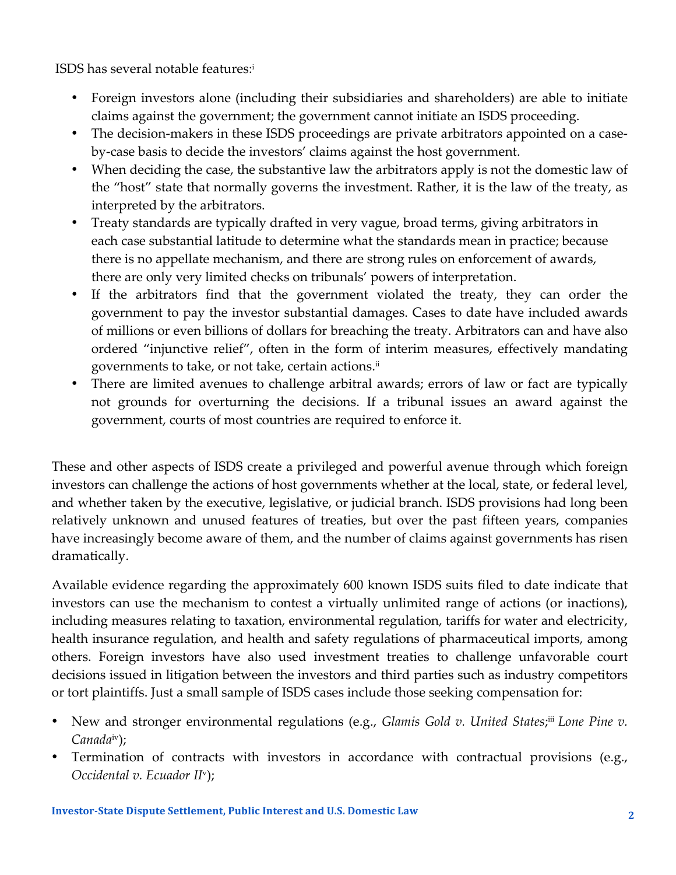ISDS has several notable features:i

- Foreign investors alone (including their subsidiaries and shareholders) are able to initiate claims against the government; the government cannot initiate an ISDS proceeding.
- The decision-makers in these ISDS proceedings are private arbitrators appointed on a caseby-case basis to decide the investors' claims against the host government.
- When deciding the case, the substantive law the arbitrators apply is not the domestic law of the "host" state that normally governs the investment. Rather, it is the law of the treaty, as interpreted by the arbitrators.
- Treaty standards are typically drafted in very vague, broad terms, giving arbitrators in each case substantial latitude to determine what the standards mean in practice; because there is no appellate mechanism, and there are strong rules on enforcement of awards, there are only very limited checks on tribunals' powers of interpretation.
- If the arbitrators find that the government violated the treaty, they can order the government to pay the investor substantial damages. Cases to date have included awards of millions or even billions of dollars for breaching the treaty. Arbitrators can and have also ordered "injunctive relief", often in the form of interim measures, effectively mandating governments to take, or not take, certain actions.<sup>ii</sup>
- There are limited avenues to challenge arbitral awards; errors of law or fact are typically not grounds for overturning the decisions. If a tribunal issues an award against the government, courts of most countries are required to enforce it.

These and other aspects of ISDS create a privileged and powerful avenue through which foreign investors can challenge the actions of host governments whether at the local, state, or federal level, and whether taken by the executive, legislative, or judicial branch. ISDS provisions had long been relatively unknown and unused features of treaties, but over the past fifteen years, companies have increasingly become aware of them, and the number of claims against governments has risen dramatically.

Available evidence regarding the approximately 600 known ISDS suits filed to date indicate that investors can use the mechanism to contest a virtually unlimited range of actions (or inactions), including measures relating to taxation, environmental regulation, tariffs for water and electricity, health insurance regulation, and health and safety regulations of pharmaceutical imports, among others. Foreign investors have also used investment treaties to challenge unfavorable court decisions issued in litigation between the investors and third parties such as industry competitors or tort plaintiffs. Just a small sample of ISDS cases include those seeking compensation for:

- New and stronger environmental regulations (e.g., Glamis Gold v. United States;<sup>iii</sup> Lone Pine v. *Canada*iv);
- Termination of contracts with investors in accordance with contractual provisions (e.g., *Occidental v. Ecuador II*v);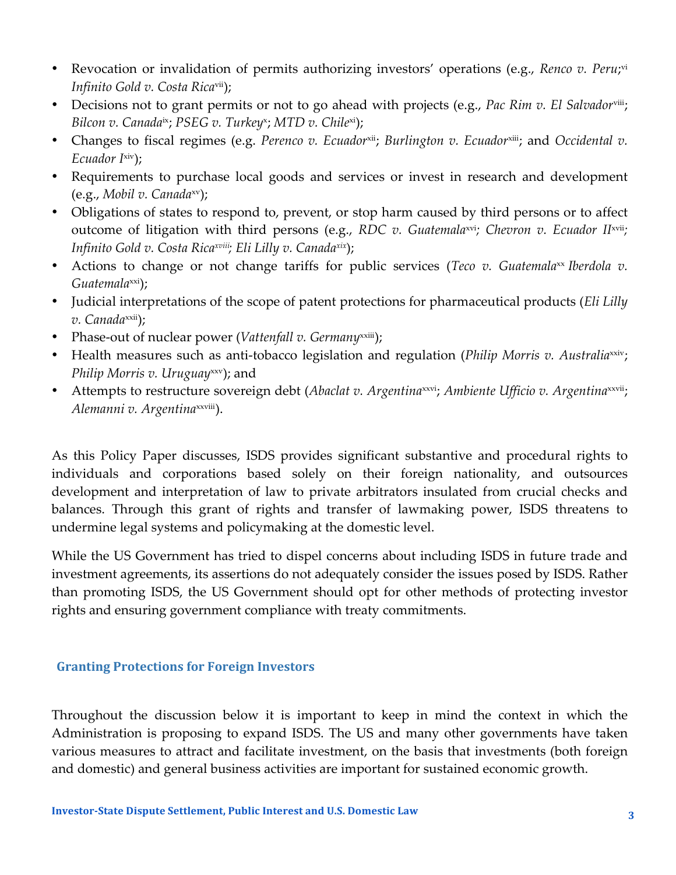- Revocation or invalidation of permits authorizing investors' operations (e.g., Renco v. Peru;vi *Infinito Gold v. Costa Rica*vii);
- Decisions not to grant permits or not to go ahead with projects (e.g., *Pac Rim v. El Salvador*viii; *Bilcon v. Canada*<sup>ix</sup>; *PSEG v. Turkey*<sup>x</sup>; *MTD v. Chile*<sup>xi</sup>);
- Changes to fiscal regimes (e.g. *Perenco v. Ecuador*xii; *Burlington v. Ecuador*xiii; and *Occidental v. Ecuador I*xiv);
- Requirements to purchase local goods and services or invest in research and development (e.g., *Mobil v. Canada*xv);
- Obligations of states to respond to, prevent, or stop harm caused by third persons or to affect outcome of litigation with third persons (e.g., *RDC v. Guatemala*xvi*; Chevron v. Ecuador II*xvii*; Infinito Gold v. Costa Ricaxviii; Eli Lilly v. Canadaxix*);
- Actions to change or not change tariffs for public services (*Teco v. Guatemala*<sup>xx</sup> *Iberdola v.* Guatemala<sup>xxi</sup>);
- Judicial interpretations of the scope of patent protections for pharmaceutical products (*Eli Lilly v. Canada*<sup>xxii</sup>);
- Phase-out of nuclear power (*Vattenfall v. Germany*<sup>xxiii</sup>);
- Health measures such as anti-tobacco legislation and regulation (*Philip Morris v. Australia*<sup>xxiv</sup>; *Philip Morris v. Uruguay*<sup>xxv</sup>); and
- Attempts to restructure sovereign debt (*Abaclat v. Argentina*xxvi; *Ambiente Ufficio v. Argentina*xxvii; *Alemanni v. Argentina*xxviii).

As this Policy Paper discusses, ISDS provides significant substantive and procedural rights to individuals and corporations based solely on their foreign nationality, and outsources development and interpretation of law to private arbitrators insulated from crucial checks and balances. Through this grant of rights and transfer of lawmaking power, ISDS threatens to undermine legal systems and policymaking at the domestic level.

While the US Government has tried to dispel concerns about including ISDS in future trade and investment agreements, its assertions do not adequately consider the issues posed by ISDS. Rather than promoting ISDS, the US Government should opt for other methods of protecting investor rights and ensuring government compliance with treaty commitments.

#### **Granting Protections for Foreign Investors**

Throughout the discussion below it is important to keep in mind the context in which the Administration is proposing to expand ISDS. The US and many other governments have taken various measures to attract and facilitate investment, on the basis that investments (both foreign and domestic) and general business activities are important for sustained economic growth.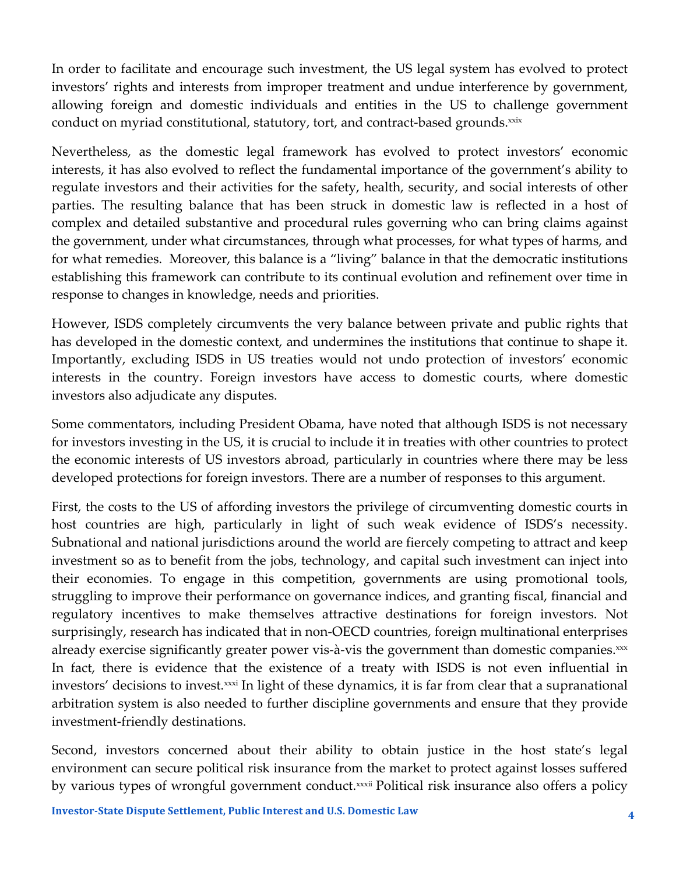In order to facilitate and encourage such investment, the US legal system has evolved to protect investors' rights and interests from improper treatment and undue interference by government, allowing foreign and domestic individuals and entities in the US to challenge government conduct on myriad constitutional, statutory, tort, and contract-based grounds.<sup>xxix</sup>

Nevertheless, as the domestic legal framework has evolved to protect investors' economic interests, it has also evolved to reflect the fundamental importance of the government's ability to regulate investors and their activities for the safety, health, security, and social interests of other parties. The resulting balance that has been struck in domestic law is reflected in a host of complex and detailed substantive and procedural rules governing who can bring claims against the government, under what circumstances, through what processes, for what types of harms, and for what remedies. Moreover, this balance is a "living" balance in that the democratic institutions establishing this framework can contribute to its continual evolution and refinement over time in response to changes in knowledge, needs and priorities.

However, ISDS completely circumvents the very balance between private and public rights that has developed in the domestic context, and undermines the institutions that continue to shape it. Importantly, excluding ISDS in US treaties would not undo protection of investors' economic interests in the country. Foreign investors have access to domestic courts, where domestic investors also adjudicate any disputes.

Some commentators, including President Obama, have noted that although ISDS is not necessary for investors investing in the US, it is crucial to include it in treaties with other countries to protect the economic interests of US investors abroad, particularly in countries where there may be less developed protections for foreign investors. There are a number of responses to this argument.

First, the costs to the US of affording investors the privilege of circumventing domestic courts in host countries are high, particularly in light of such weak evidence of ISDS's necessity. Subnational and national jurisdictions around the world are fiercely competing to attract and keep investment so as to benefit from the jobs, technology, and capital such investment can inject into their economies. To engage in this competition, governments are using promotional tools, struggling to improve their performance on governance indices, and granting fiscal, financial and regulatory incentives to make themselves attractive destinations for foreign investors. Not surprisingly, research has indicated that in non-OECD countries, foreign multinational enterprises already exercise significantly greater power vis-à-vis the government than domestic companies.<sup>xxx</sup> In fact, there is evidence that the existence of a treaty with ISDS is not even influential in investors' decisions to invest. *xxxi* In light of these dynamics, it is far from clear that a supranational arbitration system is also needed to further discipline governments and ensure that they provide investment-friendly destinations.

Second, investors concerned about their ability to obtain justice in the host state's legal environment can secure political risk insurance from the market to protect against losses suffered by various types of wrongful government conduct.<sup>xxxii</sup> Political risk insurance also offers a policy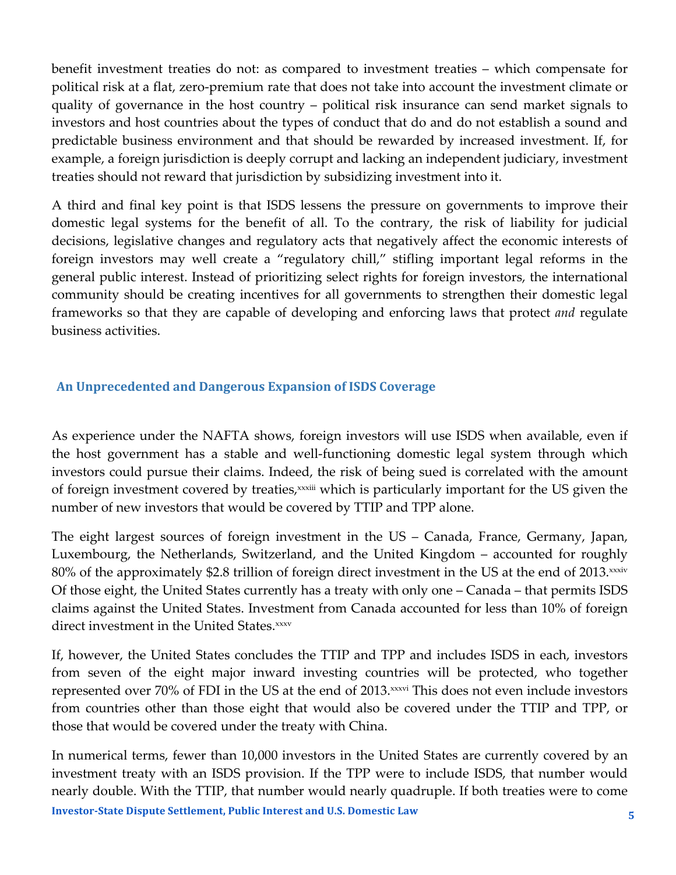benefit investment treaties do not: as compared to investment treaties – which compensate for political risk at a flat, zero-premium rate that does not take into account the investment climate or quality of governance in the host country – political risk insurance can send market signals to investors and host countries about the types of conduct that do and do not establish a sound and predictable business environment and that should be rewarded by increased investment. If, for example, a foreign jurisdiction is deeply corrupt and lacking an independent judiciary, investment treaties should not reward that jurisdiction by subsidizing investment into it.

A third and final key point is that ISDS lessens the pressure on governments to improve their domestic legal systems for the benefit of all. To the contrary, the risk of liability for judicial decisions, legislative changes and regulatory acts that negatively affect the economic interests of foreign investors may well create a "regulatory chill," stifling important legal reforms in the general public interest. Instead of prioritizing select rights for foreign investors, the international community should be creating incentives for all governments to strengthen their domestic legal frameworks so that they are capable of developing and enforcing laws that protect *and* regulate business activities.

#### An Unprecedented and Dangerous Expansion of ISDS Coverage

As experience under the NAFTA shows, foreign investors will use ISDS when available, even if the host government has a stable and well-functioning domestic legal system through which investors could pursue their claims. Indeed, the risk of being sued is correlated with the amount of foreign investment covered by treaties,<sup>xxxiii</sup> which is particularly important for the US given the number of new investors that would be covered by TTIP and TPP alone.

The eight largest sources of foreign investment in the US – Canada, France, Germany, Japan, Luxembourg, the Netherlands, Switzerland, and the United Kingdom – accounted for roughly 80% of the approximately \$2.8 trillion of foreign direct investment in the US at the end of 2013.xxxiv Of those eight, the United States currently has a treaty with only one – Canada – that permits ISDS claims against the United States. Investment from Canada accounted for less than 10% of foreign direct investment in the United States.xxxv

If, however, the United States concludes the TTIP and TPP and includes ISDS in each, investors from seven of the eight major inward investing countries will be protected, who together represented over 70% of FDI in the US at the end of 2013.<sup>xxxvi</sup> This does not even include investors from countries other than those eight that would also be covered under the TTIP and TPP, or those that would be covered under the treaty with China.

**Investor-State Dispute Settlement, Public Interest and U.S. Domestic Law** 5 In numerical terms, fewer than 10,000 investors in the United States are currently covered by an investment treaty with an ISDS provision. If the TPP were to include ISDS, that number would nearly double. With the TTIP, that number would nearly quadruple. If both treaties were to come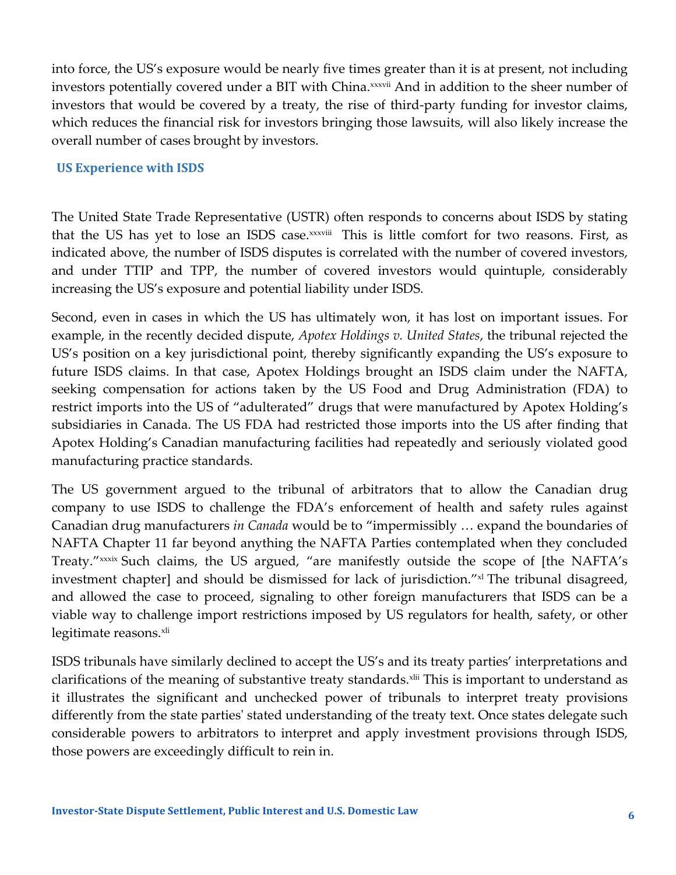into force, the US's exposure would be nearly five times greater than it is at present, not including investors potentially covered under a BIT with China.<sup>xxxvii</sup> And in addition to the sheer number of investors that would be covered by a treaty, the rise of third-party funding for investor claims, which reduces the financial risk for investors bringing those lawsuits, will also likely increase the overall number of cases brought by investors.

#### **US Experience with ISDS**

The United State Trade Representative (USTR) often responds to concerns about ISDS by stating that the US has yet to lose an ISDS case. *xxxviii* This is little comfort for two reasons. First, as indicated above, the number of ISDS disputes is correlated with the number of covered investors, and under TTIP and TPP, the number of covered investors would quintuple, considerably increasing the US's exposure and potential liability under ISDS.

Second, even in cases in which the US has ultimately won, it has lost on important issues. For example, in the recently decided dispute, *Apotex Holdings v. United States*, the tribunal rejected the US's position on a key jurisdictional point, thereby significantly expanding the US's exposure to future ISDS claims. In that case, Apotex Holdings brought an ISDS claim under the NAFTA, seeking compensation for actions taken by the US Food and Drug Administration (FDA) to restrict imports into the US of "adulterated" drugs that were manufactured by Apotex Holding's subsidiaries in Canada. The US FDA had restricted those imports into the US after finding that Apotex Holding's Canadian manufacturing facilities had repeatedly and seriously violated good manufacturing practice standards.

The US government argued to the tribunal of arbitrators that to allow the Canadian drug company to use ISDS to challenge the FDA's enforcement of health and safety rules against Canadian drug manufacturers *in Canada* would be to "impermissibly … expand the boundaries of NAFTA Chapter 11 far beyond anything the NAFTA Parties contemplated when they concluded Treaty."xxxix Such claims, the US argued, "are manifestly outside the scope of [the NAFTA's investment chapter] and should be dismissed for lack of jurisdiction."xl The tribunal disagreed, and allowed the case to proceed, signaling to other foreign manufacturers that ISDS can be a viable way to challenge import restrictions imposed by US regulators for health, safety, or other legitimate reasons.<sup>xli</sup>

ISDS tribunals have similarly declined to accept the US's and its treaty parties' interpretations and clarifications of the meaning of substantive treaty standards.<sup>xlii</sup> This is important to understand as it illustrates the significant and unchecked power of tribunals to interpret treaty provisions differently from the state parties' stated understanding of the treaty text. Once states delegate such considerable powers to arbitrators to interpret and apply investment provisions through ISDS, those powers are exceedingly difficult to rein in.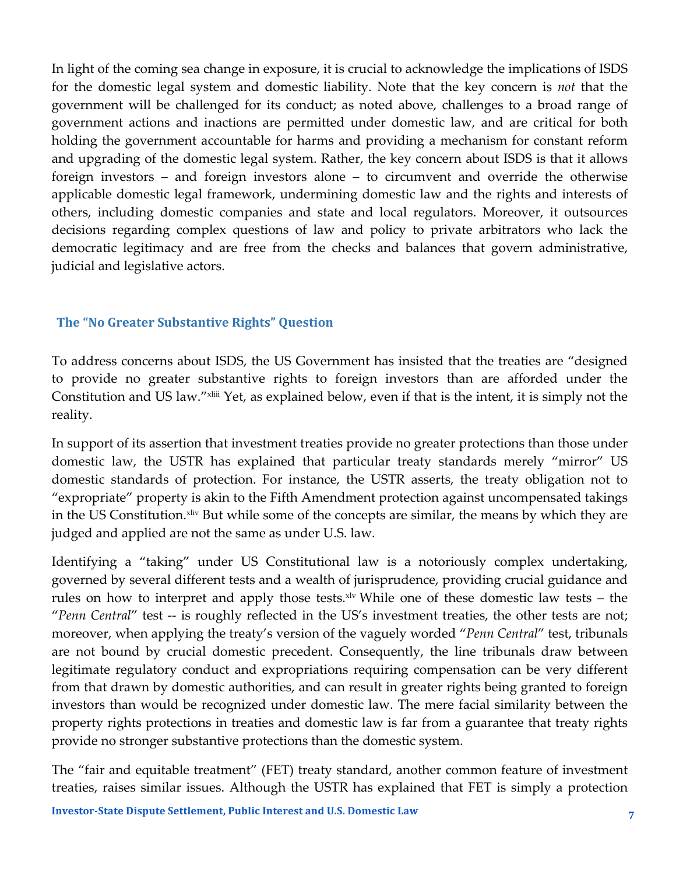In light of the coming sea change in exposure, it is crucial to acknowledge the implications of ISDS for the domestic legal system and domestic liability. Note that the key concern is *not* that the government will be challenged for its conduct; as noted above, challenges to a broad range of government actions and inactions are permitted under domestic law, and are critical for both holding the government accountable for harms and providing a mechanism for constant reform and upgrading of the domestic legal system. Rather, the key concern about ISDS is that it allows foreign investors – and foreign investors alone – to circumvent and override the otherwise applicable domestic legal framework, undermining domestic law and the rights and interests of others, including domestic companies and state and local regulators. Moreover, it outsources decisions regarding complex questions of law and policy to private arbitrators who lack the democratic legitimacy and are free from the checks and balances that govern administrative, judicial and legislative actors.

#### **The "No Greater Substantive Rights" Question**

To address concerns about ISDS, the US Government has insisted that the treaties are "designed to provide no greater substantive rights to foreign investors than are afforded under the Constitution and US law."xliii Yet, as explained below, even if that is the intent, it is simply not the reality.

In support of its assertion that investment treaties provide no greater protections than those under domestic law, the USTR has explained that particular treaty standards merely "mirror" US domestic standards of protection. For instance, the USTR asserts, the treaty obligation not to "expropriate" property is akin to the Fifth Amendment protection against uncompensated takings in the US Constitution.<sup>xliv</sup> But while some of the concepts are similar, the means by which they are judged and applied are not the same as under U.S. law.

Identifying a "taking" under US Constitutional law is a notoriously complex undertaking, governed by several different tests and a wealth of jurisprudence, providing crucial guidance and rules on how to interpret and apply those tests.  $x^{\text{dv}}$  While one of these domestic law tests – the "*Penn Central*" test -- is roughly reflected in the US's investment treaties, the other tests are not; moreover, when applying the treaty's version of the vaguely worded "*Penn Central*" test, tribunals are not bound by crucial domestic precedent. Consequently, the line tribunals draw between legitimate regulatory conduct and expropriations requiring compensation can be very different from that drawn by domestic authorities, and can result in greater rights being granted to foreign investors than would be recognized under domestic law. The mere facial similarity between the property rights protections in treaties and domestic law is far from a guarantee that treaty rights provide no stronger substantive protections than the domestic system.

The "fair and equitable treatment" (FET) treaty standard, another common feature of investment treaties, raises similar issues. Although the USTR has explained that FET is simply a protection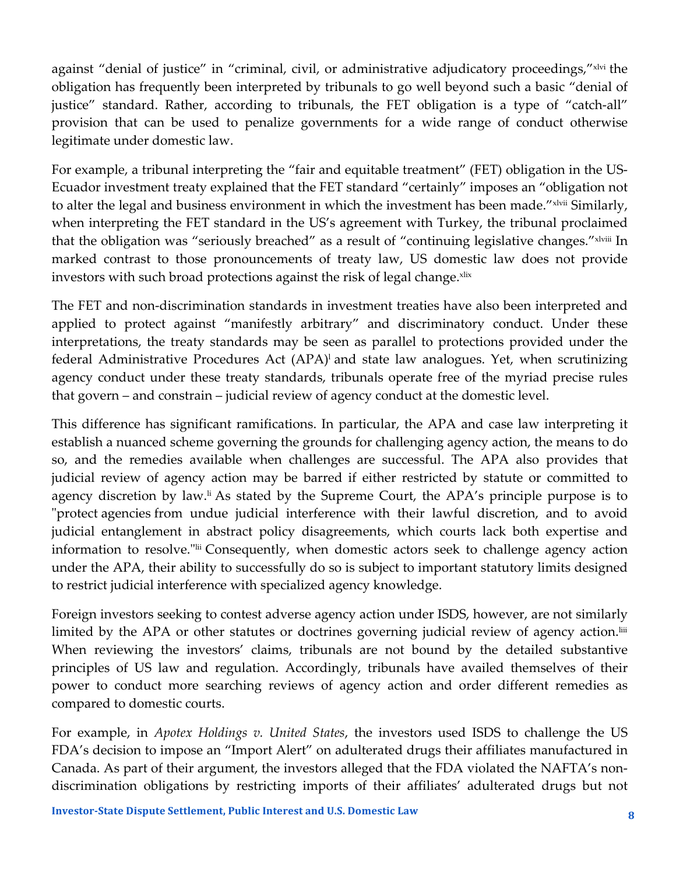against "denial of justice" in "criminal, civil, or administrative adjudicatory proceedings,"<sup>xlvi</sup> the obligation has frequently been interpreted by tribunals to go well beyond such a basic "denial of justice" standard. Rather, according to tribunals, the FET obligation is a type of "catch-all" provision that can be used to penalize governments for a wide range of conduct otherwise legitimate under domestic law.

For example, a tribunal interpreting the "fair and equitable treatment" (FET) obligation in the US-Ecuador investment treaty explained that the FET standard "certainly" imposes an "obligation not to alter the legal and business environment in which the investment has been made." xlvii Similarly, when interpreting the FET standard in the US's agreement with Turkey, the tribunal proclaimed that the obligation was "seriously breached" as a result of "continuing legislative changes." xlviii In marked contrast to those pronouncements of treaty law, US domestic law does not provide investors with such broad protections against the risk of legal change.<sup>xlix</sup>

The FET and non-discrimination standards in investment treaties have also been interpreted and applied to protect against "manifestly arbitrary" and discriminatory conduct. Under these interpretations, the treaty standards may be seen as parallel to protections provided under the federal Administrative Procedures Act (APA)<sup>1</sup> and state law analogues. Yet, when scrutinizing agency conduct under these treaty standards, tribunals operate free of the myriad precise rules that govern – and constrain – judicial review of agency conduct at the domestic level.

This difference has significant ramifications. In particular, the APA and case law interpreting it establish a nuanced scheme governing the grounds for challenging agency action, the means to do so, and the remedies available when challenges are successful. The APA also provides that judicial review of agency action may be barred if either restricted by statute or committed to agency discretion by law.<sup>If</sup> As stated by the Supreme Court, the APA's principle purpose is to "protect agencies from undue judicial interference with their lawful discretion, and to avoid judicial entanglement in abstract policy disagreements, which courts lack both expertise and information to resolve."<sup>III</sup> Consequently, when domestic actors seek to challenge agency action under the APA, their ability to successfully do so is subject to important statutory limits designed to restrict judicial interference with specialized agency knowledge.

Foreign investors seeking to contest adverse agency action under ISDS, however, are not similarly limited by the APA or other statutes or doctrines governing judicial review of agency action. $^{\text{lin}}$ When reviewing the investors' claims, tribunals are not bound by the detailed substantive principles of US law and regulation. Accordingly, tribunals have availed themselves of their power to conduct more searching reviews of agency action and order different remedies as compared to domestic courts.

For example, in *Apotex Holdings v. United States*, the investors used ISDS to challenge the US FDA's decision to impose an "Import Alert" on adulterated drugs their affiliates manufactured in Canada. As part of their argument, the investors alleged that the FDA violated the NAFTA's nondiscrimination obligations by restricting imports of their affiliates' adulterated drugs but not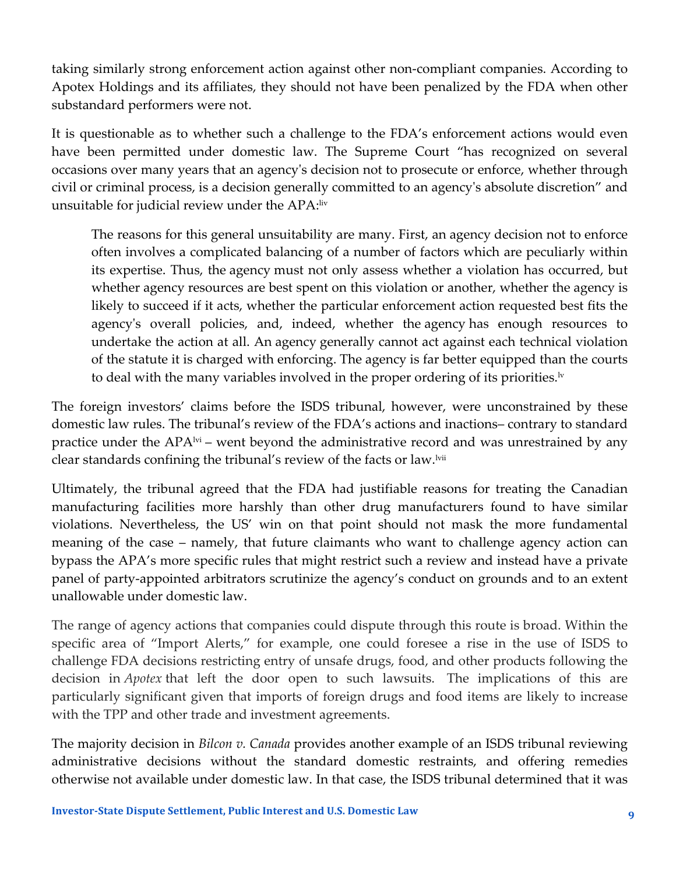taking similarly strong enforcement action against other non-compliant companies. According to Apotex Holdings and its affiliates, they should not have been penalized by the FDA when other substandard performers were not.

It is questionable as to whether such a challenge to the FDA's enforcement actions would even have been permitted under domestic law. The Supreme Court "has recognized on several occasions over many years that an agency's decision not to prosecute or enforce, whether through civil or criminal process, is a decision generally committed to an agency's absolute discretion" and unsuitable for judicial review under the APA:<sup>liv</sup>

The reasons for this general unsuitability are many. First, an agency decision not to enforce often involves a complicated balancing of a number of factors which are peculiarly within its expertise. Thus, the agency must not only assess whether a violation has occurred, but whether agency resources are best spent on this violation or another, whether the agency is likely to succeed if it acts, whether the particular enforcement action requested best fits the agency's overall policies, and, indeed, whether the agency has enough resources to undertake the action at all. An agency generally cannot act against each technical violation of the statute it is charged with enforcing. The agency is far better equipped than the courts to deal with the many variables involved in the proper ordering of its priorities.<sup> $\nu$ </sup>

The foreign investors' claims before the ISDS tribunal, however, were unconstrained by these domestic law rules. The tribunal's review of the FDA's actions and inactions– contrary to standard practice under the  $APA<sup>1vi</sup>$  – went beyond the administrative record and was unrestrained by any clear standards confining the tribunal's review of the facts or law.<sup>Ivii</sup>

Ultimately, the tribunal agreed that the FDA had justifiable reasons for treating the Canadian manufacturing facilities more harshly than other drug manufacturers found to have similar violations. Nevertheless, the US' win on that point should not mask the more fundamental meaning of the case – namely, that future claimants who want to challenge agency action can bypass the APA's more specific rules that might restrict such a review and instead have a private panel of party-appointed arbitrators scrutinize the agency's conduct on grounds and to an extent unallowable under domestic law.

The range of agency actions that companies could dispute through this route is broad. Within the specific area of "Import Alerts," for example, one could foresee a rise in the use of ISDS to challenge FDA decisions restricting entry of unsafe drugs, food, and other products following the decision in *Apotex* that left the door open to such lawsuits. The implications of this are particularly significant given that imports of foreign drugs and food items are likely to increase with the TPP and other trade and investment agreements.

The majority decision in *Bilcon v. Canada* provides another example of an ISDS tribunal reviewing administrative decisions without the standard domestic restraints, and offering remedies otherwise not available under domestic law. In that case, the ISDS tribunal determined that it was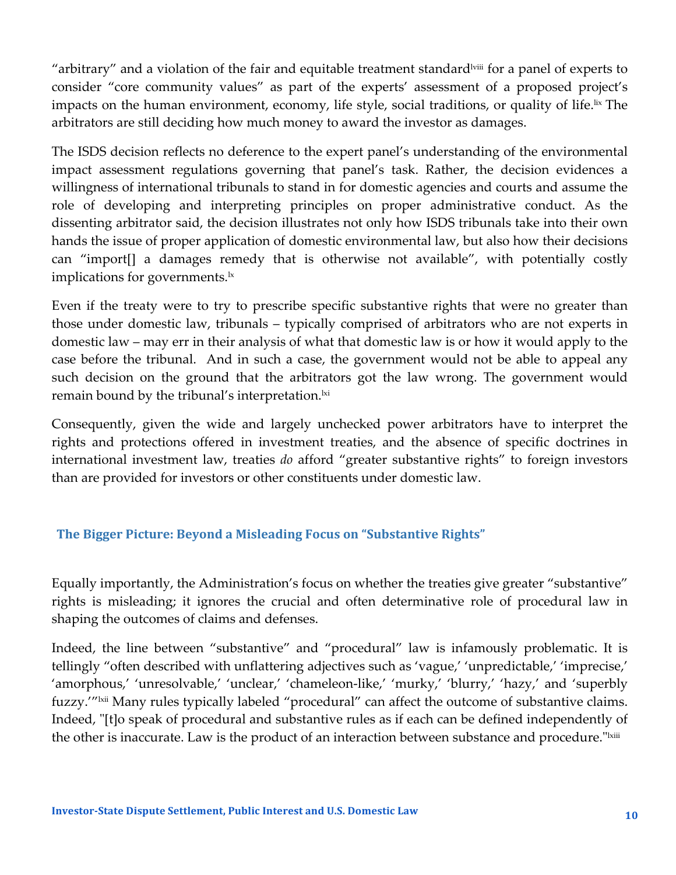"arbitrary" and a violation of the fair and equitable treatment standardlviii for a panel of experts to consider "core community values" as part of the experts' assessment of a proposed project's impacts on the human environment, economy, life style, social traditions, or quality of life.<sup>lix</sup> The arbitrators are still deciding how much money to award the investor as damages.

The ISDS decision reflects no deference to the expert panel's understanding of the environmental impact assessment regulations governing that panel's task. Rather, the decision evidences a willingness of international tribunals to stand in for domestic agencies and courts and assume the role of developing and interpreting principles on proper administrative conduct. As the dissenting arbitrator said, the decision illustrates not only how ISDS tribunals take into their own hands the issue of proper application of domestic environmental law, but also how their decisions can "import[] a damages remedy that is otherwise not available", with potentially costly implications for governments.<sup>1x</sup>

Even if the treaty were to try to prescribe specific substantive rights that were no greater than those under domestic law, tribunals – typically comprised of arbitrators who are not experts in domestic law – may err in their analysis of what that domestic law is or how it would apply to the case before the tribunal. And in such a case, the government would not be able to appeal any such decision on the ground that the arbitrators got the law wrong. The government would remain bound by the tribunal's interpretation.<sup>1xi</sup>

Consequently, given the wide and largely unchecked power arbitrators have to interpret the rights and protections offered in investment treaties, and the absence of specific doctrines in international investment law, treaties *do* afford "greater substantive rights" to foreign investors than are provided for investors or other constituents under domestic law.

# **The Bigger Picture: Beyond a Misleading Focus on "Substantive Rights"**

Equally importantly, the Administration's focus on whether the treaties give greater "substantive" rights is misleading; it ignores the crucial and often determinative role of procedural law in shaping the outcomes of claims and defenses.

Indeed, the line between "substantive" and "procedural" law is infamously problematic. It is tellingly "often described with unflattering adjectives such as 'vague,' 'unpredictable,' 'imprecise,' 'amorphous,' 'unresolvable,' 'unclear,' 'chameleon-like,' 'murky,' 'blurry,' 'hazy,' and 'superbly fuzzy.'"<sup>Ixii</sup> Many rules typically labeled "procedural" can affect the outcome of substantive claims. Indeed, "[t]o speak of procedural and substantive rules as if each can be defined independently of the other is inaccurate. Law is the product of an interaction between substance and procedure."<sup>Ixiii</sup>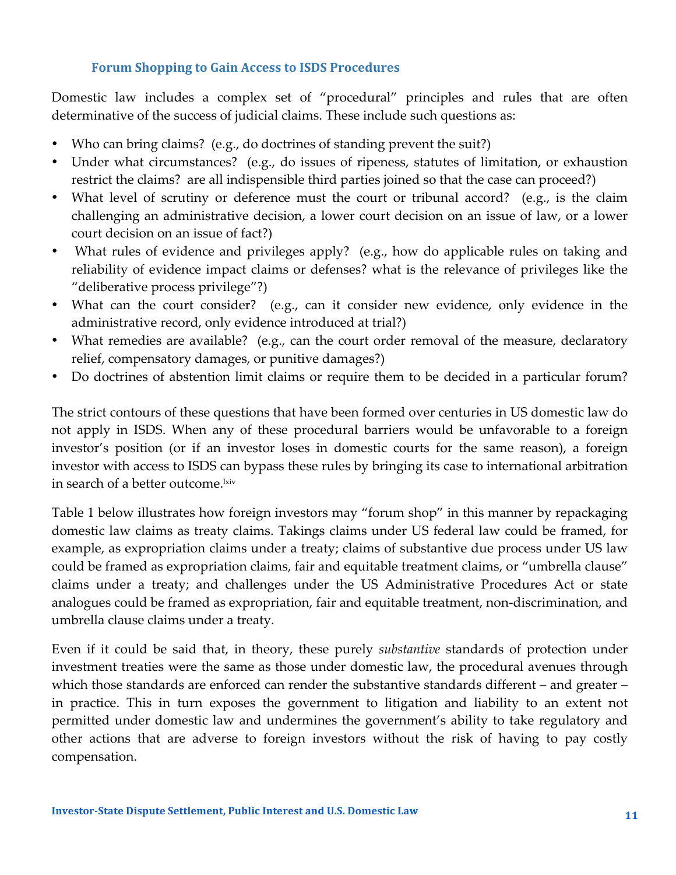#### **Forum Shopping to Gain Access to ISDS Procedures**

Domestic law includes a complex set of "procedural" principles and rules that are often determinative of the success of judicial claims. These include such questions as:

- Who can bring claims? (e.g., do doctrines of standing prevent the suit?)
- Under what circumstances? (e.g., do issues of ripeness, statutes of limitation, or exhaustion restrict the claims? are all indispensible third parties joined so that the case can proceed?)
- What level of scrutiny or deference must the court or tribunal accord? (e.g., is the claim challenging an administrative decision, a lower court decision on an issue of law, or a lower court decision on an issue of fact?)
- What rules of evidence and privileges apply? (e.g., how do applicable rules on taking and reliability of evidence impact claims or defenses? what is the relevance of privileges like the "deliberative process privilege"?)
- What can the court consider? (e.g., can it consider new evidence, only evidence in the administrative record, only evidence introduced at trial?)
- What remedies are available? (e.g., can the court order removal of the measure, declaratory relief, compensatory damages, or punitive damages?)
- Do doctrines of abstention limit claims or require them to be decided in a particular forum?

The strict contours of these questions that have been formed over centuries in US domestic law do not apply in ISDS. When any of these procedural barriers would be unfavorable to a foreign investor's position (or if an investor loses in domestic courts for the same reason), a foreign investor with access to ISDS can bypass these rules by bringing its case to international arbitration in search of a better outcome.<sup>kiv</sup>

Table 1 below illustrates how foreign investors may "forum shop" in this manner by repackaging domestic law claims as treaty claims. Takings claims under US federal law could be framed, for example, as expropriation claims under a treaty; claims of substantive due process under US law could be framed as expropriation claims, fair and equitable treatment claims, or "umbrella clause" claims under a treaty; and challenges under the US Administrative Procedures Act or state analogues could be framed as expropriation, fair and equitable treatment, non-discrimination, and umbrella clause claims under a treaty.

Even if it could be said that, in theory, these purely *substantive* standards of protection under investment treaties were the same as those under domestic law, the procedural avenues through which those standards are enforced can render the substantive standards different – and greater – in practice. This in turn exposes the government to litigation and liability to an extent not permitted under domestic law and undermines the government's ability to take regulatory and other actions that are adverse to foreign investors without the risk of having to pay costly compensation.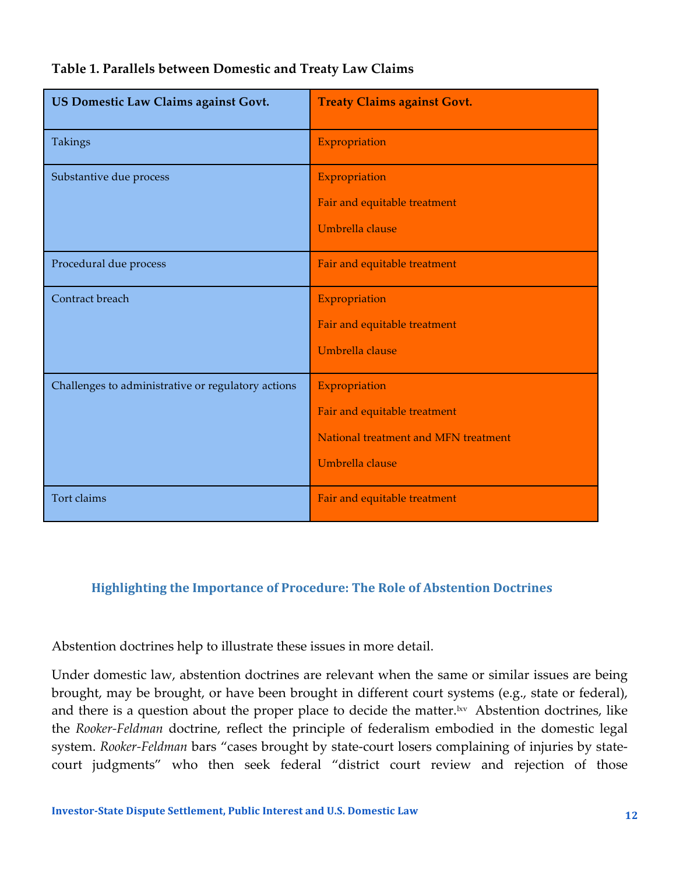| US Domestic Law Claims against Govt.               | <b>Treaty Claims against Govt.</b>   |
|----------------------------------------------------|--------------------------------------|
| <b>Takings</b>                                     | Expropriation                        |
| Substantive due process                            | Expropriation                        |
|                                                    | Fair and equitable treatment         |
|                                                    | Umbrella clause                      |
| Procedural due process                             | Fair and equitable treatment         |
| Contract breach                                    | Expropriation                        |
|                                                    | Fair and equitable treatment         |
|                                                    | Umbrella clause                      |
| Challenges to administrative or regulatory actions | Expropriation                        |
|                                                    | Fair and equitable treatment         |
|                                                    | National treatment and MFN treatment |
|                                                    | Umbrella clause                      |
| Tort claims                                        | Fair and equitable treatment         |

#### **Table 1. Parallels between Domestic and Treaty Law Claims**

#### **Highlighting the Importance of Procedure: The Role of Abstention Doctrines**

Abstention doctrines help to illustrate these issues in more detail.

Under domestic law, abstention doctrines are relevant when the same or similar issues are being brought, may be brought, or have been brought in different court systems (e.g., state or federal), and there is a question about the proper place to decide the matter. $\frac{kv}{ }$  Abstention doctrines, like the *Rooker-Feldman* doctrine, reflect the principle of federalism embodied in the domestic legal system. *Rooker-Feldman* bars "cases brought by state-court losers complaining of injuries by statecourt judgments" who then seek federal "district court review and rejection of those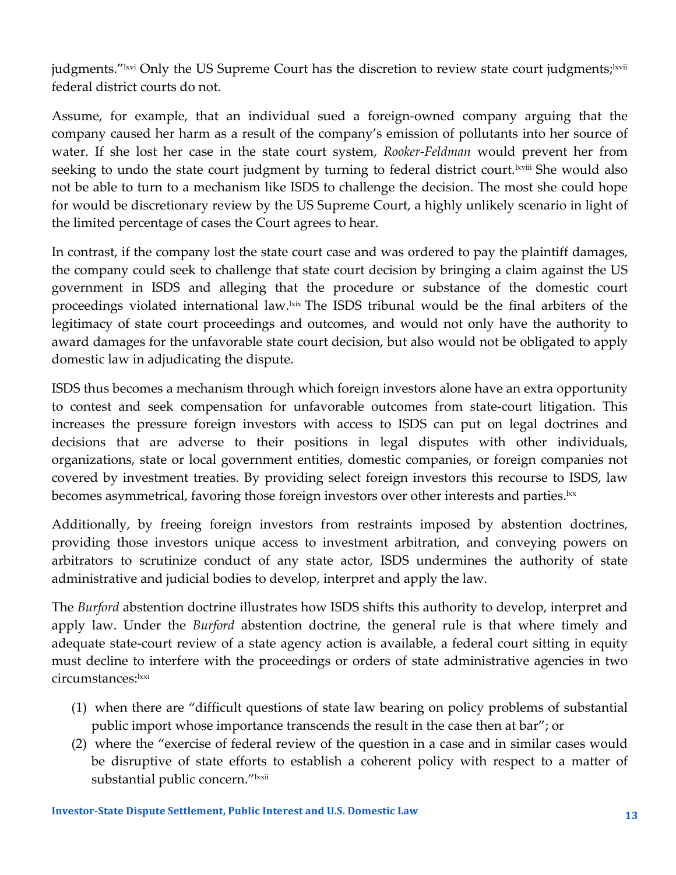judgments."<sup>Ixvi</sup> Only the US Supreme Court has the discretion to review state court judgments;<sup>1xvii</sup> federal district courts do not.

Assume, for example, that an individual sued a foreign-owned company arguing that the company caused her harm as a result of the company's emission of pollutants into her source of water. If she lost her case in the state court system, *Rooker-Feldman* would prevent her from seeking to undo the state court judgment by turning to federal district court. In She would also not be able to turn to a mechanism like ISDS to challenge the decision. The most she could hope for would be discretionary review by the US Supreme Court, a highly unlikely scenario in light of the limited percentage of cases the Court agrees to hear.

In contrast, if the company lost the state court case and was ordered to pay the plaintiff damages, the company could seek to challenge that state court decision by bringing a claim against the US government in ISDS and alleging that the procedure or substance of the domestic court proceedings violated international law.<sup>kix</sup> The ISDS tribunal would be the final arbiters of the legitimacy of state court proceedings and outcomes, and would not only have the authority to award damages for the unfavorable state court decision, but also would not be obligated to apply domestic law in adjudicating the dispute.

ISDS thus becomes a mechanism through which foreign investors alone have an extra opportunity to contest and seek compensation for unfavorable outcomes from state-court litigation. This increases the pressure foreign investors with access to ISDS can put on legal doctrines and decisions that are adverse to their positions in legal disputes with other individuals, organizations, state or local government entities, domestic companies, or foreign companies not covered by investment treaties. By providing select foreign investors this recourse to ISDS, law becomes asymmetrical, favoring those foreign investors over other interests and parties.<sup>1xx</sup>

Additionally, by freeing foreign investors from restraints imposed by abstention doctrines, providing those investors unique access to investment arbitration, and conveying powers on arbitrators to scrutinize conduct of any state actor, ISDS undermines the authority of state administrative and judicial bodies to develop, interpret and apply the law.

The *Burford* abstention doctrine illustrates how ISDS shifts this authority to develop, interpret and apply law. Under the *Burford* abstention doctrine, the general rule is that where timely and adequate state-court review of a state agency action is available, a federal court sitting in equity must decline to interfere with the proceedings or orders of state administrative agencies in two circumstances: kxi

- (1) when there are "difficult questions of state law bearing on policy problems of substantial public import whose importance transcends the result in the case then at bar"; or
- (2) where the "exercise of federal review of the question in a case and in similar cases would be disruptive of state efforts to establish a coherent policy with respect to a matter of substantial public concern."<sup>Ixxii</sup>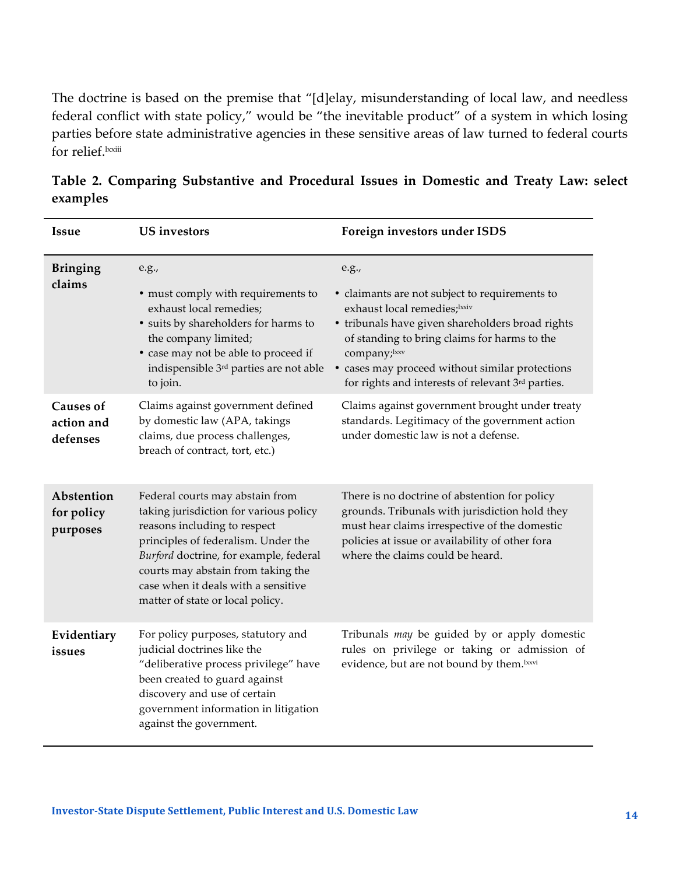The doctrine is based on the premise that "[d]elay, misunderstanding of local law, and needless federal conflict with state policy," would be "the inevitable product" of a system in which losing parties before state administrative agencies in these sensitive areas of law turned to federal courts for relief.<sup>lxxiii</sup>

| <b>Issue</b>                               | <b>US</b> investors                                                                                                                                                                                                                                                                                         | Foreign investors under ISDS                                                                                                                                                                                                                                                                                         |
|--------------------------------------------|-------------------------------------------------------------------------------------------------------------------------------------------------------------------------------------------------------------------------------------------------------------------------------------------------------------|----------------------------------------------------------------------------------------------------------------------------------------------------------------------------------------------------------------------------------------------------------------------------------------------------------------------|
| <b>Bringing</b><br>claims                  | e.g.,<br>• must comply with requirements to<br>exhaust local remedies;<br>• suits by shareholders for harms to<br>the company limited;<br>• case may not be able to proceed if<br>indispensible 3rd parties are not able<br>to join.                                                                        | e.g.,<br>• claimants are not subject to requirements to<br>exhaust local remedies; lxxiv<br>· tribunals have given shareholders broad rights<br>of standing to bring claims for harms to the<br>company;lxxv<br>• cases may proceed without similar protections<br>for rights and interests of relevant 3rd parties. |
| <b>Causes of</b><br>action and<br>defenses | Claims against government defined<br>by domestic law (APA, takings<br>claims, due process challenges,<br>breach of contract, tort, etc.)                                                                                                                                                                    | Claims against government brought under treaty<br>standards. Legitimacy of the government action<br>under domestic law is not a defense.                                                                                                                                                                             |
| Abstention<br>for policy<br>purposes       | Federal courts may abstain from<br>taking jurisdiction for various policy<br>reasons including to respect<br>principles of federalism. Under the<br>Burford doctrine, for example, federal<br>courts may abstain from taking the<br>case when it deals with a sensitive<br>matter of state or local policy. | There is no doctrine of abstention for policy<br>grounds. Tribunals with jurisdiction hold they<br>must hear claims irrespective of the domestic<br>policies at issue or availability of other fora<br>where the claims could be heard.                                                                              |
| Evidentiary<br>issues                      | For policy purposes, statutory and<br>judicial doctrines like the<br>"deliberative process privilege" have<br>been created to guard against<br>discovery and use of certain<br>government information in litigation<br>against the government.                                                              | Tribunals may be guided by or apply domestic<br>rules on privilege or taking or admission of<br>evidence, but are not bound by them. <sup>1xxvi</sup>                                                                                                                                                                |

# **Table 2. Comparing Substantive and Procedural Issues in Domestic and Treaty Law: select examples**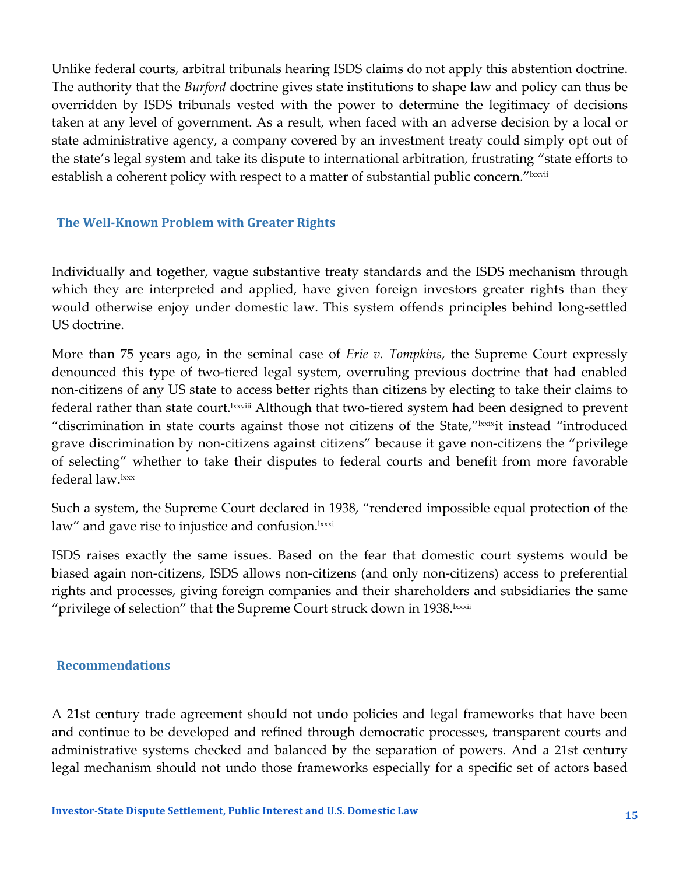Unlike federal courts, arbitral tribunals hearing ISDS claims do not apply this abstention doctrine. The authority that the *Burford* doctrine gives state institutions to shape law and policy can thus be overridden by ISDS tribunals vested with the power to determine the legitimacy of decisions taken at any level of government. As a result, when faced with an adverse decision by a local or state administrative agency, a company covered by an investment treaty could simply opt out of the state's legal system and take its dispute to international arbitration, frustrating "state efforts to establish a coherent policy with respect to a matter of substantial public concern."<sup>Ixxvii</sup>

#### **The Well-Known Problem with Greater Rights**

Individually and together, vague substantive treaty standards and the ISDS mechanism through which they are interpreted and applied, have given foreign investors greater rights than they would otherwise enjoy under domestic law. This system offends principles behind long-settled US doctrine.

More than 75 years ago, in the seminal case of *Erie v. Tompkins*, the Supreme Court expressly denounced this type of two-tiered legal system, overruling previous doctrine that had enabled non-citizens of any US state to access better rights than citizens by electing to take their claims to federal rather than state court. **Exxviii** Although that two-tiered system had been designed to prevent "discrimination in state courts against those not citizens of the State,"*lxxxx*it instead "introduced grave discrimination by non-citizens against citizens" because it gave non-citizens the "privilege of selecting" whether to take their disputes to federal courts and benefit from more favorable federal law.<sup>lxxx</sup>

Such a system, the Supreme Court declared in 1938, "rendered impossible equal protection of the law" and gave rise to injustice and confusion. $\frac{b \cdot x}{c}$ 

ISDS raises exactly the same issues. Based on the fear that domestic court systems would be biased again non-citizens, ISDS allows non-citizens (and only non-citizens) access to preferential rights and processes, giving foreign companies and their shareholders and subsidiaries the same "privilege of selection" that the Supreme Court struck down in 1938.  $\frac{J_{\text{av}}}{N}$ 

#### **Recommendations**

A 21st century trade agreement should not undo policies and legal frameworks that have been and continue to be developed and refined through democratic processes, transparent courts and administrative systems checked and balanced by the separation of powers. And a 21st century legal mechanism should not undo those frameworks especially for a specific set of actors based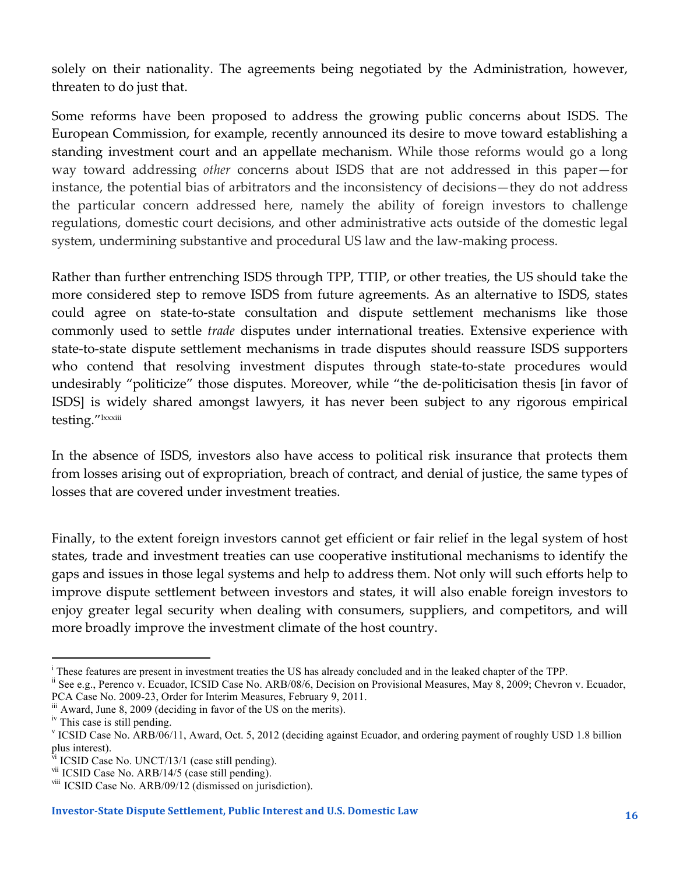solely on their nationality. The agreements being negotiated by the Administration, however, threaten to do just that.

Some reforms have been proposed to address the growing public concerns about ISDS. The European Commission, for example, recently announced its desire to move toward establishing a standing investment court and an appellate mechanism. While those reforms would go a long way toward addressing *other* concerns about ISDS that are not addressed in this paper—for instance, the potential bias of arbitrators and the inconsistency of decisions—they do not address the particular concern addressed here, namely the ability of foreign investors to challenge regulations, domestic court decisions, and other administrative acts outside of the domestic legal system, undermining substantive and procedural US law and the law-making process.

Rather than further entrenching ISDS through TPP, TTIP, or other treaties, the US should take the more considered step to remove ISDS from future agreements. As an alternative to ISDS, states could agree on state-to-state consultation and dispute settlement mechanisms like those commonly used to settle *trade* disputes under international treaties. Extensive experience with state-to-state dispute settlement mechanisms in trade disputes should reassure ISDS supporters who contend that resolving investment disputes through state-to-state procedures would undesirably "politicize" those disputes. Moreover, while "the de-politicisation thesis [in favor of ISDS] is widely shared amongst lawyers, it has never been subject to any rigorous empirical testing."Ixxxiii

In the absence of ISDS, investors also have access to political risk insurance that protects them from losses arising out of expropriation, breach of contract, and denial of justice, the same types of losses that are covered under investment treaties.

Finally, to the extent foreign investors cannot get efficient or fair relief in the legal system of host states, trade and investment treaties can use cooperative institutional mechanisms to identify the gaps and issues in those legal systems and help to address them. Not only will such efforts help to improve dispute settlement between investors and states, it will also enable foreign investors to enjoy greater legal security when dealing with consumers, suppliers, and competitors, and will more broadly improve the investment climate of the host country.

<u>.</u>

<sup>&</sup>lt;sup>i</sup> These features are present in investment treaties the US has already concluded and in the leaked chapter of the TPP.

ii See e.g., Perenco v. Ecuador, ICSID Case No. ARB/08/6, Decision on Provisional Measures, May 8, 2009; Chevron v. Ecuador, PCA Case No. 2009-23, Order for Interim Measures, February 9, 2011.<br>iii Award, June 8, 2009 (deciding in favor of the US on the merits).<br><sup>iv</sup> This case is still pending.

<sup>&</sup>lt;sup>v</sup> ICSID Case No. ARB/06/11, Award, Oct. 5, 2012 (deciding against Ecuador, and ordering payment of roughly USD 1.8 billion plus interest).

 $v<sup>i</sup>$  ICSID Case No. UNCT/13/1 (case still pending).

<sup>&</sup>lt;sup>vii</sup> ICSID Case No. ARB/14/5 (case still pending).

viii ICSID Case No. ARB/09/12 (dismissed on jurisdiction).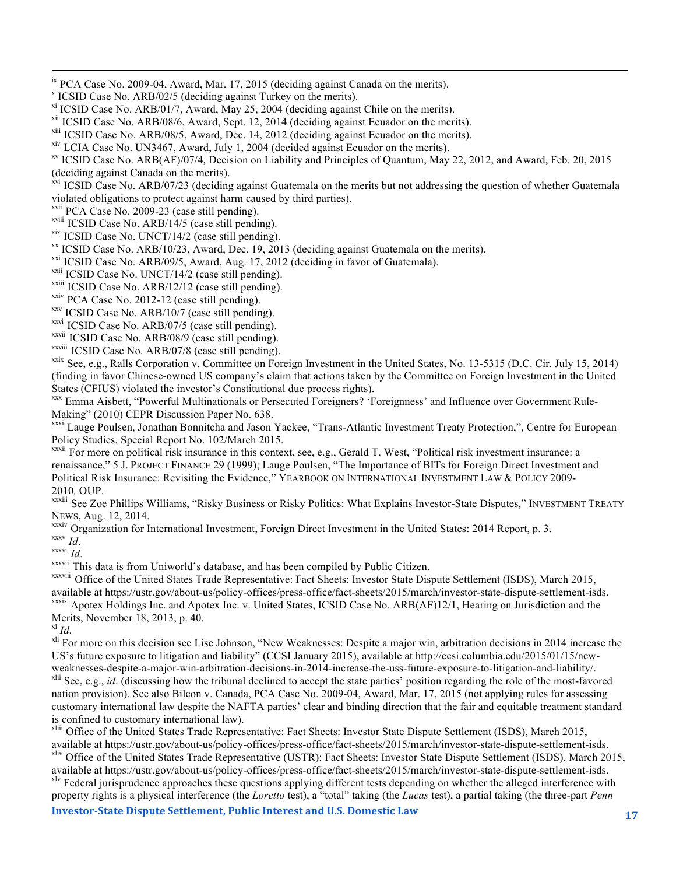- <sup>ix</sup> PCA Case No. 2009-04, Award, Mar. 17, 2015 (deciding against Canada on the merits).<br><sup>x</sup> ICSID Case No. ARB/02/5 (deciding against Turkey on the merits).<br><sup>xi</sup> ICSID Case No. ARB/01/7, Award, May 25, 2004 (deciding aga
- 
- 
- 
- <sup>xii</sup> ICSID Case No. ARB/08/6, Award, Sept. 12, 2014 (deciding against Ecuador on the merits).<br><sup>xiii</sup> ICSID Case No. ARB/08/5, Award, Dec. 14, 2012 (deciding against Ecuador on the merits).<br><sup>xiv</sup> LCIA Case No. UN3467, Awa
- 

<sup>xv</sup> ICSID Case No. ARB(AF)/07/4, Decision on Liability and Principles of Quantum, May 22, 2012, and Award, Feb. 20, 2015 (deciding against Canada on the merits).

 $\frac{x}{y}$  ICSID Case No. ARB/07/23 (deciding against Guatemala on the merits but not addressing the question of whether Guatemala violated obligations to protect against harm caused by third parties).

<sup>xvii</sup> PCA Case No. 2009-23 (case still pending).<br><sup>xviii</sup> ICSID Case No. ARB/14/5 (case still pending).

<sup>xix</sup> ICSID Case No. UNCT/14/2 (case still pending).<br><sup>xx</sup> ICSID Case No. ARB/10/23, Award, Dec. 19, 2013 (deciding against Guatemala on the merits).<br><sup>xxi</sup> ICSID Case No. ARB/09/5, Award, Aug. 17, 2012 (deciding in favor o

 $xxy$  ICSID Case No. ARB/10/7 (case still pending).

xxvi ICSID Case No. ARB/07/5 (case still pending).

xxvii ICSID Case No. ARB/08/9 (case still pending).<br>xxviii ICSID Case No. ARB/07/8 (case still pending).

 $\frac{x}{x}$  See, e.g., Ralls Corporation v. Committee on Foreign Investment in the United States, No. 13-5315 (D.C. Cir. July 15, 2014) (finding in favor Chinese-owned US company's claim that actions taken by the Committee on Foreign Investment in the United States (CFIUS) violated the investor's Constitutional due process rights).<br><sup>xxx</sup> Emma Aisbett, "Powerful Multinationals or Persecuted Foreigners? 'Foreignness' and Influence over Government Rule-

Making" (2010) CEPR Discussion Paper No. 638.

xxxi Lauge Poulsen, Jonathan Bonnitcha and Jason Yackee, "Trans-Atlantic Investment Treaty Protection,", Centre for European Policy Studies, Special Report No. 102/March 2015.

xxxii For more on political risk insurance in this context, see, e.g., Gerald T. West, "Political risk investment insurance: a renaissance," 5 J. PROJECT FINANCE 29 (1999); Lauge Poulsen, "The Importance of BITs for Foreign Direct Investment and Political Risk Insurance: Revisiting the Evidence," YEARBOOK ON INTERNATIONAL INVESTMENT LAW & POLICY 2009- 2010, OUP.<br><sup>xxxiii</sup> See Zoe Phillips Williams, "Risky Business or Risky Politics: What Explains Investor-State Disputes," INVESTMENT TREATY

NEWS, Aug. 12, 2014.

xxxiv Organization for International Investment, Foreign Direct Investment in the United States: 2014 Report, p. 3.<br>xxxv Id.<br>xxxvi Id.<br>xxxvi Id.<br>xxxvii This data is from Uniworld's database, and has been compiled by Publi

<u>.</u>

xxxviii Office of the United States Trade Representative: Fact Sheets: Investor State Dispute Settlement (ISDS), March 2015, available at https://ustr.gov/about-us/policy-offices/press-office/fact-sheets/2015/march/investo xxxix Apotex Holdings Inc. and Apotex Inc. v. United States, ICSID Case No. ARB(AF)12/1, Hearing on Jurisdiction and the Merits, November 18, 2013, p. 40.<br> $\frac{1}{d}$ 

xli For more on this decision see Lise Johnson, "New Weaknesses: Despite a major win, arbitration decisions in 2014 increase the US's future exposure to litigation and liability" (CCSI January 2015), available at http://ccsi.columbia.edu/2015/01/15/newweaknesses-despite-a-major-win-arbitration-decisions-in-2014-increase-the-uss-future-exposure-to-litigation-and-liability/.<br><sup>xlii</sup> See, e.g., *id*. (discussing how the tribunal declined to accept the state parties' positio nation provision). See also Bilcon v. Canada, PCA Case No. 2009-04, Award, Mar. 17, 2015 (not applying rules for assessing customary international law despite the NAFTA parties' clear and binding direction that the fair and equitable treatment standard

is confined to customary international law).<br><sup>xliii</sup> Office of the United States Trade Representative: Fact Sheets: Investor State Dispute Settlement (ISDS), March 2015, available at https://ustr.gov/about-us/policy-offices/press-office/fact-sheets/2015/march/investor-state-dispute-settlement-isds.

xliv Office of the United States Trade Representative (USTR): Fact Sheets: Investor State Dispute Settlement (ISDS), March 2015, available at https://ustr.gov/about-us/policy-offices/press-office/fact-sheets/2015/march/investor-state-dispute-settlement-isds. <sup>xlv</sup> Federal jurisprudence approaches these questions applying different tests depending on whether the alleged interference with

property rights is a physical interference (the *Loretto* test), a "total" taking (the *Lucas* test), a partial taking (the three-part *Penn* 

**Investor-State Dispute Settlement, Public Interest and U.S. Domestic Law 17**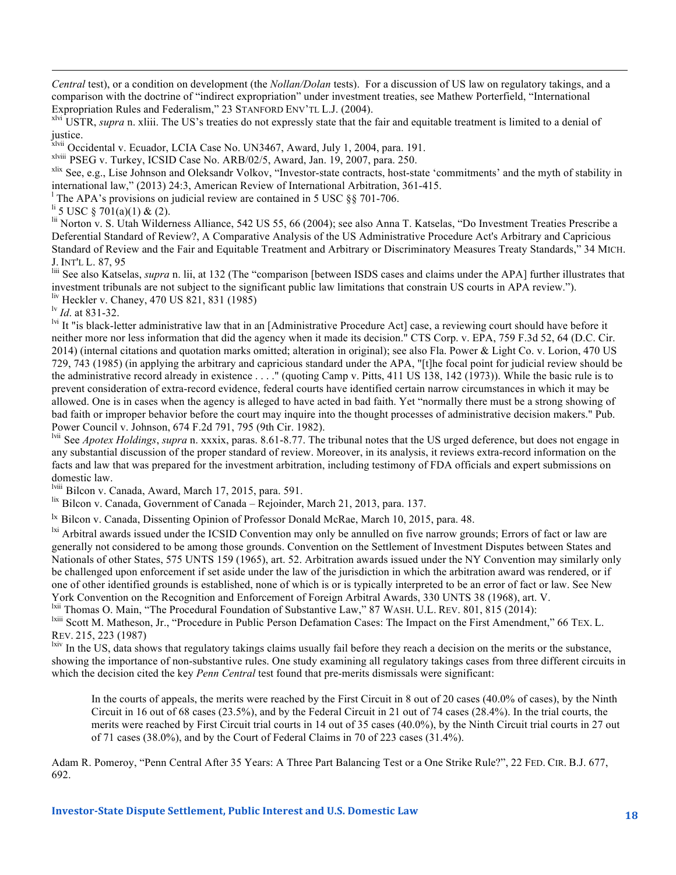*Central* test), or a condition on development (the *Nollan/Dolan* tests). For a discussion of US law on regulatory takings, and a comparison with the doctrine of "indirect expropriation" under investment treaties, see Mathew Porterfield, "International Expropriation Rules and Federalism," 23 STANFORD ENV'TL L.J. (2004).

xlvi USTR, *supra* n. xliii. The US's treaties do not expressly state that the fair and equitable treatment is limited to a denial of justice.

xlvii Occidental v. Ecuador, LCIA Case No. UN3467, Award, July 1, 2004, para. 191.

xlviii PSEG v. Turkey, ICSID Case No. ARB/02/5, Award, Jan. 19, 2007, para. 250.<br><sup>xlix</sup> See, e.g., Lise Johnson and Oleksandr Volkov, "Investor-state contracts, host-state 'commitments' and the myth of stability in international law," (2013) 24:3, American Review of International Arbitration, 361-415.

<sup>1</sup> The APA's provisions on judicial review are contained in 5 USC §§ 701-706. <sup>li</sup> 5 USC § 701(a)(1) & (2).

lii Norton v. S. Utah Wilderness Alliance, 542 US 55, 66 (2004); see also Anna T. Katselas, "Do Investment Treaties Prescribe a Deferential Standard of Review?, A Comparative Analysis of the US Administrative Procedure Act's Arbitrary and Capricious Standard of Review and the Fair and Equitable Treatment and Arbitrary or Discriminatory Measures Treaty Standards," 34 MICH. J. INT'L L. 87, 95<br><sup>liii</sup> See also Katselas, *supra* n. lii, at 132 (The "comparison [between ISDS cases and claims under the APA] further illustrates that

investment tribunals are not subject to the significant public law limitations that constrain US courts in APA review."). liv Heckler v. Chaney, 470 US 821, 831 (1985)

lv *Id*. at 831-32.

<u>.</u>

<sup>lvi</sup> It "is black-letter administrative law that in an [Administrative Procedure Act] case, a reviewing court should have before it neither more nor less information that did the agency when it made its decision." CTS Corp. v. EPA, 759 F.3d 52, 64 (D.C. Cir. 2014) (internal citations and quotation marks omitted; alteration in original); see also Fla. Power & Light Co. v. Lorion, 470 US 729, 743 (1985) (in applying the arbitrary and capricious standard under the APA, "[t]he focal point for judicial review should be the administrative record already in existence . . . ." (quoting Camp v. Pitts, 411 US 138, 142 (1973)). While the basic rule is to prevent consideration of extra-record evidence, federal courts have identified certain narrow circumstances in which it may be allowed. One is in cases when the agency is alleged to have acted in bad faith. Yet "normally there must be a strong showing of bad faith or improper behavior before the court may inquire into the thought processes of administrative decision makers." Pub. Power Council v. Johnson, 674 F.2d 791, 795 (9th Cir. 1982).

lvii See *Apotex Holdings*, *supra* n. xxxix, paras. 8.61-8.77. The tribunal notes that the US urged deference, but does not engage in any substantial discussion of the proper standard of review. Moreover, in its analysis, it reviews extra-record information on the facts and law that was prepared for the investment arbitration, including testimony of FDA officials and expert submissions on domestic law.<br><sup>Iviii</sup> Bilcon v. Canada. Award. March 17, 2015, para. 591.

 $\frac{1}{x}$  Bilcon v. Canada, Government of Canada – Rejoinder, March 21, 2013, para. 137.

<sup>1x</sup> Bilcon v. Canada, Dissenting Opinion of Professor Donald McRae, March 10, 2015, para. 48.

<sup>lxi</sup> Arbitral awards issued under the ICSID Convention may only be annulled on five narrow grounds; Errors of fact or law are generally not considered to be among those grounds. Convention on the Settlement of Investment Disputes between States and Nationals of other States, 575 UNTS 159 (1965), art. 52. Arbitration awards issued under the NY Convention may similarly only be challenged upon enforcement if set aside under the law of the jurisdiction in which the arbitration award was rendered, or if one of other identified grounds is established, none of which is or is typically interpreted to be an error of fact or law. See New York Convention on the Recognition and Enforcement of Foreign Arbitral Awards, 330 UNTS 38 (1968), art. V.<br><sup>Ixii</sup> Thomas O. Main, "The Procedural Foundation of Substantive Law," 87 WASH. U.L. REV. 801, 815 (2014):

<sup>1xiii</sup> Scott M. Matheson, Jr., "Procedure in Public Person Defamation Cases: The Impact on the First Amendment," 66 TEX. L. REV. 215, 223 (1987)

lxiv In the US, data shows that regulatory takings claims usually fail before they reach a decision on the merits or the substance, showing the importance of non-substantive rules. One study examining all regulatory takings cases from three different circuits in which the decision cited the key *Penn Central* test found that pre-merits dismissals were significant:

In the courts of appeals, the merits were reached by the First Circuit in 8 out of 20 cases (40.0% of cases), by the Ninth Circuit in 16 out of 68 cases (23.5%), and by the Federal Circuit in 21 out of 74 cases (28.4%). In the trial courts, the merits were reached by First Circuit trial courts in 14 out of 35 cases (40.0%), by the Ninth Circuit trial courts in 27 out of 71 cases (38.0%), and by the Court of Federal Claims in 70 of 223 cases (31.4%).

Adam R. Pomeroy, "Penn Central After 35 Years: A Three Part Balancing Test or a One Strike Rule?", 22 FED. CIR. B.J. 677, 692.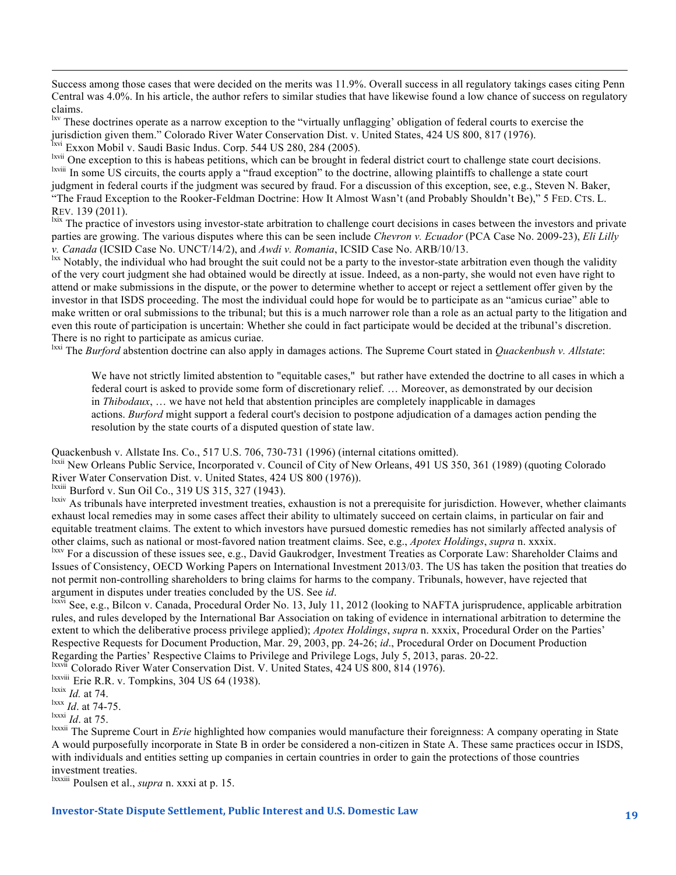Success among those cases that were decided on the merits was 11.9%. Overall success in all regulatory takings cases citing Penn Central was 4.0%. In his article, the author refers to similar studies that have likewise found a low chance of success on regulatory claims.

<sup>lxv</sup> These doctrines operate as a narrow exception to the "virtually unflagging' obligation of federal courts to exercise the jurisdiction given them." Colorado River Water Conservation Dist. v. United States, 424 US 800, 817 (1976).

<sup>Ixvi</sup> Exxon Mobil v. Saudi Basic Indus. Corp. 544 US 280, 284 (2005).

lxvii One exception to this is habeas petitions, which can be brought in federal district court to challenge state court decisions. lxviii In some US circuits, the courts apply a "fraud exception" to the doctrine, allowing plaintiffs to challenge a state court judgment in federal courts if the judgment was secured by fraud. For a discussion of this exception, see, e.g., Steven N. Baker, "The Fraud Exception to the Rooker-Feldman Doctrine: How It Almost Wasn't (and Probably Shouldn't Be)," 5 FED. CTS. L. REV. 139 (2011).<br><sup>lxix</sup> The practice of investors using investor-state arbitration to challenge court decisions in cases between the investors and private

parties are growing. The various disputes where this can be seen include *Chevron v. Ecuador* (PCA Case No. 2009-23), *Eli Lilly*  v. Canada (ICSID Case No. UNCT/14/2), and Awdi v. Romania, ICSID Case No. ARB/10/13.<br><sup>Ixx</sup> Notably, the individual who had brought the suit could not be a party to the investor-state arbitration even though the validity

of the very court judgment she had obtained would be directly at issue. Indeed, as a non-party, she would not even have right to attend or make submissions in the dispute, or the power to determine whether to accept or reject a settlement offer given by the investor in that ISDS proceeding. The most the individual could hope for would be to participate as an "amicus curiae" able to make written or oral submissions to the tribunal; but this is a much narrower role than a role as an actual party to the litigation and even this route of participation is uncertain: Whether she could in fact participate would be decided at the tribunal's discretion. There is no right to participate as amicus curiae.

lxxi The *Burford* abstention doctrine can also apply in damages actions. The Supreme Court stated in *Quackenbush v. Allstate*:

We have not strictly limited abstention to "equitable cases," but rather have extended the doctrine to all cases in which a federal court is asked to provide some form of discretionary relief. … Moreover, as demonstrated by our decision in *Thibodaux*, … we have not held that abstention principles are completely inapplicable in damages actions. *Burford* might support a federal court's decision to postpone adjudication of a damages action pending the resolution by the state courts of a disputed question of state law.

Quackenbush v. Allstate Ins. Co., 517 U.S. 706, 730-731 (1996) (internal citations omitted).<br>
<sup>Ixxii</sup> New Orleans Public Service, Incorporated v. Council of City of New Orleans, 491 US 350, 361 (1989) (quoting Colorado<br>
Ri

 $\frac{R}{X}$ lxxiii Burford v. Sun Oil Co., 319 US 315, 327 (1943).

<sup>lxxiv</sup> As tribunals have interpreted investment treaties, exhaustion is not a prerequisite for jurisdiction. However, whether claimants exhaust local remedies may in some cases affect their ability to ultimately succeed on certain claims, in particular on fair and equitable treatment claims. The extent to which investors have pursued domestic remedies has not similarly affected analysis of other claims, such as national or most-favored nation treatment claims. See, e.g., Apotex Holdings, supra n. xxxix.<br><sup>Ixxv</sup> For a discussion of these issues see, e.g., David Gaukrodger, Investment Treaties as Corporate Law:

Issues of Consistency, OECD Working Papers on International Investment 2013/03. The US has taken the position that treaties do not permit non-controlling shareholders to bring claims for harms to the company. Tribunals, however, have rejected that argument in disputes under treaties concluded by the US. See *id*. lxxvi See, e.g., Bilcon v. Canada, Procedural Order No. 13, July 11, 2012 (looking to NAFTA jurisprudence, applicable arbitration

rules, and rules developed by the International Bar Association on taking of evidence in international arbitration to determine the extent to which the deliberative process privilege applied); *Apotex Holdings*, *supra* n. xxxix, Procedural Order on the Parties' Respective Requests for Document Production, Mar. 29, 2003, pp. 24-26; *id*., Procedural Order on Document Production Regarding the Parties' Respective Claims to Privilege and Privilege Logs, July 5, 2013, paras. 20-22.

<sup>Ixxvii</sup> Colorado River Water Conservation Dist. V. United States, 424 US 800, 814 (1976).<br><sup>Ixxviii</sup> Erie R.R. v. Tompkins, 304 US 64 (1938).

<u>.</u>

<sup>1xxx</sup> *Id.* at 74-75.<br><sup>1xxx</sup> *Id.* at 74-75.<br><sup>1xxxi</sup> *Id.* at 75.<br><sup>1xxxi</sup> The Supreme Court in *Erie* highlighted how companies would manufacture their foreignness: A company operating in State A would purposefully incorporate in State B in order be considered a non-citizen in State A. These same practices occur in ISDS, with individuals and entities setting up companies in certain countries in order to gain the protections of those countries investment treaties.

lxxxiii Poulsen et al., *supra* n. xxxi at p. 15.

**Investor-State Dispute Settlement, Public Interest and U.S. Domestic Law 19**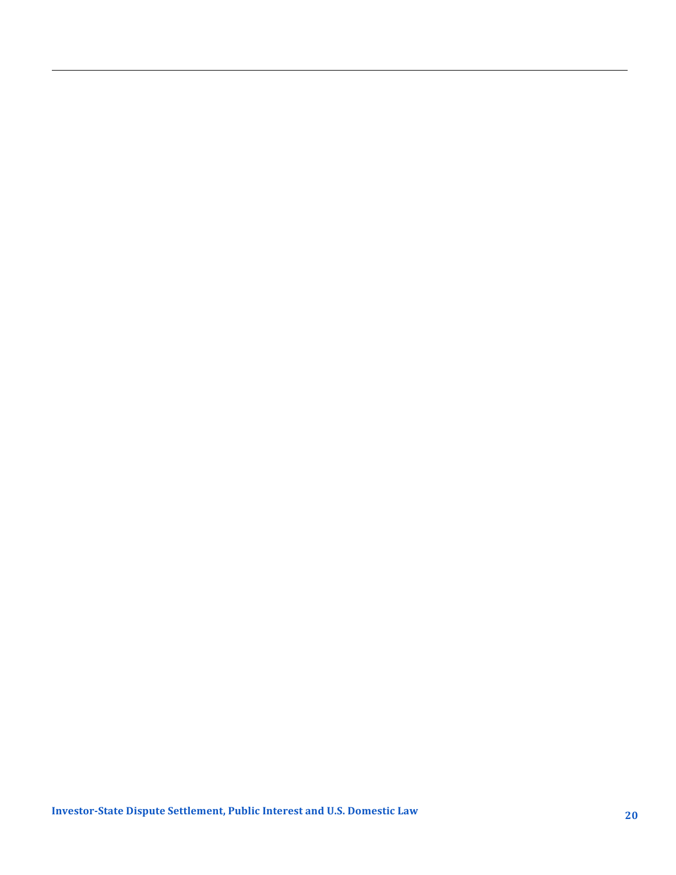**Investor-State Dispute Settlement, Public Interest and U.S. Domestic Law** 20

<u>.</u>